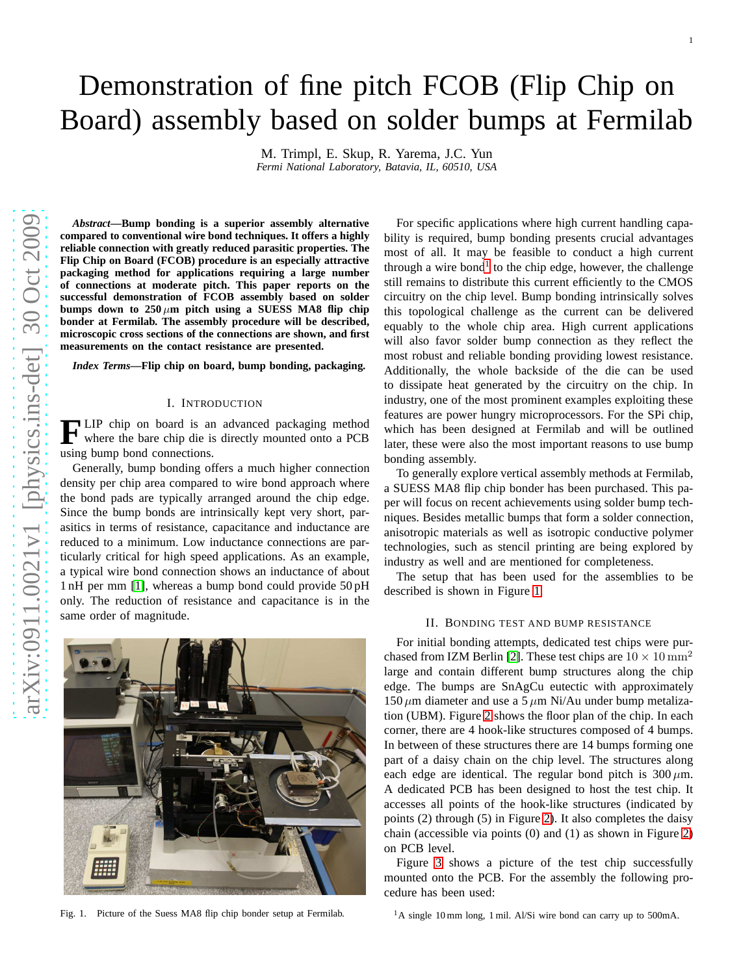# Demonstration of fine pitch FCOB (Flip Chip on Board) assembly based on solder bumps at Fermilab

M. Trimpl, E. Skup, R. Yarema, J.C. Yun *Fermi National Laboratory, Batavia, IL, 60510, USA*

*Abstract***—Bump bonding is a superior assembly alternative compared to conventional wire bond techniques. It offers a highly reliable connection with greatly reduced parasitic properties. The Flip Chip on Board (FCOB) procedure is an especially attractive packaging method for applications requiring a large number of connections at moderate pitch. This paper reports on the successful demonstration of FCOB assembly based on solder** bumps down to  $250 \mu m$  pitch using a SUESS MA8 flip chip **bonder at Fermilab. The assembly procedure will be described, microscopic cross sections of the connections are shown, and first measurements on the contact resistance are presented.**

*Index Terms***—Flip chip on board, bump bonding, packaging.**

## I. INTRODUCTION

**F** LIP chip on board is an advanced packaging method<br>where the bare chip die is directly mounted onto a PCB where the bare chip die is directly mounted onto a PCB using bump bond connections.

Generally, bump bonding offers a much higher connection density per chip area compared to wire bond approach where the bond pads are typically arranged around the chip edge. Since the bump bonds are intrinsically kept very short, parasitics in terms of resistance, capacitance and inductance are reduced to a minimum. Low inductance connections are particularly critical for high speed applications. As an example, a typical wire bond connection shows an inductance of about 1 nH per mm [\[1\]](#page-3-0), whereas a bump bond could provide 50 pH only. The reduction of resistance and capacitance is in the same order of magnitude.

bility is required, bump bonding presents crucial advantages most of all. It may be feasible to conduct a high current through a wire bond<sup>[1](#page-0-0)</sup> to the chip edge, however, the challenge still remains to distribute this current efficiently to the CMOS circuitry on the chip level. Bump bonding intrinsically solves this topological challenge as the current can be delivered equably to the whole chip area. High current applications will also favor solder bump connection as they reflect the most robust and reliable bonding providing lowest resistance. Additionally, the whole backside of the die can be used to dissipate heat generated by the circuitry on the chip. In industry, one of the most prominent examples exploiting these features are power hungry microprocessors. For the SPi chip, which has been designed at Fermilab and will be outlined later, these were also the most important reasons to use bump bonding assembly.

For specific applications where high current handling capa-

To generally explore vertical assembly methods at Fermilab, a SUESS MA8 flip chip bonder has been purchased. This paper will focus on recent achievements using solder bump techniques. Besides metallic bumps that form a solder connection, anisotropic materials as well as isotropic conductive polymer technologies, such as stencil printing are being explored by industry as well and are mentioned for completeness.

The setup that has been used for the assemblies to be described is shown in Figure [1.](#page-0-1)

#### II. BONDING TEST AND BUMP RESISTANCE

For initial bonding attempts, dedicated test chips were pur-chased from IZM Berlin [\[2\]](#page-3-1). These test chips are  $10 \times 10 \text{ mm}^2$ large and contain different bump structures along the chip edge. The bumps are SnAgCu eutectic with approximately  $150 \mu$ m diameter and use a 5  $\mu$ m Ni/Au under bump metalization (UBM). Figure [2](#page-1-0) shows the floor plan of the chip. In each corner, there are 4 hook-like structures composed of 4 bumps. In between of these structures there are 14 bumps forming one part of a daisy chain on the chip level. The structures along each edge are identical. The regular bond pitch is  $300 \mu m$ . A dedicated PCB has been designed to host the test chip. It accesses all points of the hook-like structures (indicated by points (2) through (5) in Figure [2\)](#page-1-0). It also completes the daisy chain (accessible via points (0) and (1) as shown in Figure [2\)](#page-1-0) on PCB level.

<span id="page-0-0"></span>Figure [3](#page-1-1) shows a picture of the test chip successfully mounted onto the PCB. For the assembly the following procedure has been used:

<span id="page-0-1"></span>Fig. 1. Picture of the Suess MA8 flip chip bonder setup at Fermilab.



1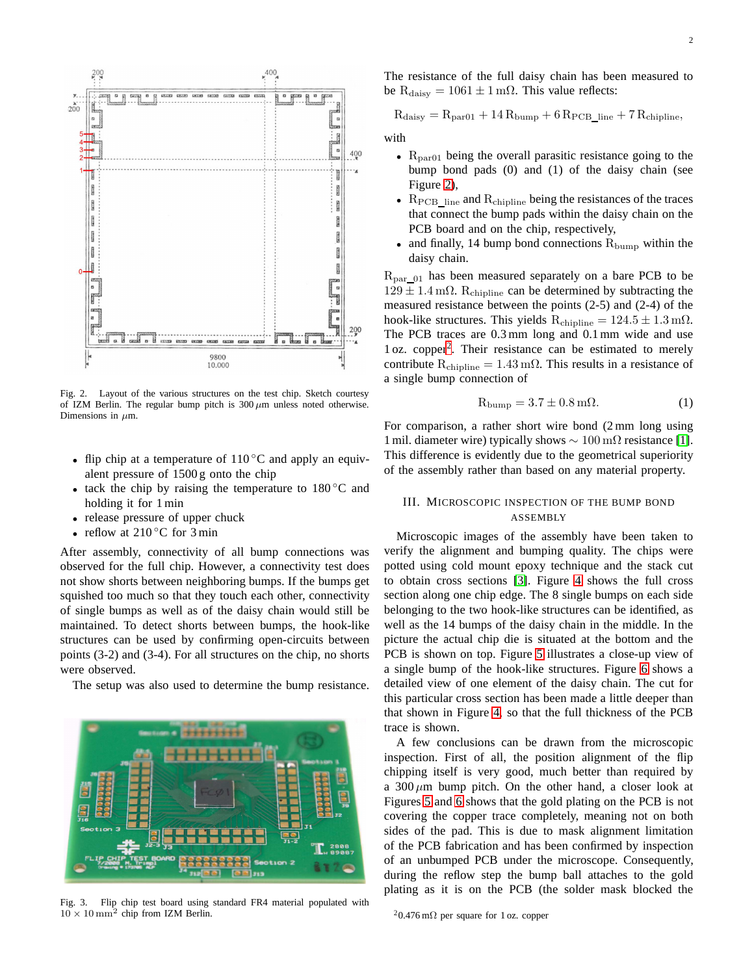

<span id="page-1-0"></span>Fig. 2. Layout of the various structures on the test chip. Sketch courtesy of IZM Berlin. The regular bump pitch is  $300 \mu$ m unless noted otherwise. Dimensions in  $\mu$ m.

- flip chip at a temperature of  $110\degree C$  and apply an equivalent pressure of 1500 g onto the chip
- tack the chip by raising the temperature to  $180^{\circ}$ C and holding it for 1 min
- release pressure of upper chuck
- reflow at  $210\degree$ C for 3 min

After assembly, connectivity of all bump connections was observed for the full chip. However, a connectivity test does not show shorts between neighboring bumps. If the bumps get squished too much so that they touch each other, connectivity of single bumps as well as of the daisy chain would still be maintained. To detect shorts between bumps, the hook-like structures can be used by confirming open-circuits between points (3-2) and (3-4). For all structures on the chip, no shorts were observed.

The setup was also used to determine the bump resistance.



<span id="page-1-1"></span>Fig. 3. Flip chip test board using standard FR4 material populated with  $10 \times 10$  mm<sup>2</sup> chip from IZM Berlin.

The resistance of the full daisy chain has been measured to be  $R_{\text{daisy}} = 1061 \pm 1 \,\text{m}\Omega$ . This value reflects:

$$
R_{\rm daisy} = R_{\rm par01} + 14\,R_{\rm bump} + 6\,R_{\rm PCB\_line} + 7\,R_{\rm chipline},
$$

with

- $R_{par01}$  being the overall parasitic resistance going to the bump bond pads (0) and (1) of the daisy chain (see Figure [2\)](#page-1-0),
- $R_{PCB$  line and  $R_{chipline}$  being the resistances of the traces that connect the bump pads within the daisy chain on the PCB board and on the chip, respectively,
- and finally, 14 bump bond connections  $R_{\text{bump}}$  within the daisy chain.

 $R_{par_01}$  has been measured separately on a bare PCB to be  $129 \pm 1.4$  m $\Omega$ . R<sub>chipline</sub> can be determined by subtracting the measured resistance between the points (2-5) and (2-4) of the hook-like structures. This yields  $R_{\text{chicoline}} = 124.5 \pm 1.3 \,\text{m}\Omega$ . The PCB traces are 0.3 mm long and 0.1 mm wide and use 1 oz. copper[2](#page-1-2) . Their resistance can be estimated to merely contribute  $R_{\text{chipline}} = 1.43 \,\text{m}\Omega$ . This results in a resistance of a single bump connection of

$$
R_{\text{bump}} = 3.7 \pm 0.8 \,\text{m}\Omega. \tag{1}
$$

For comparison, a rather short wire bond (2 mm long using 1 mil. diameter wire) typically shows  $\sim 100 \,\mathrm{m\Omega}$  resistance [\[1\]](#page-3-0). This difference is evidently due to the geometrical superiority of the assembly rather than based on any material property.

# III. MICROSCOPIC INSPECTION OF THE BUMP BOND ASSEMBLY

Microscopic images of the assembly have been taken to verify the alignment and bumping quality. The chips were potted using cold mount epoxy technique and the stack cut to obtain cross sections [\[3\]](#page-3-2). Figure [4](#page-2-0) shows the full cross section along one chip edge. The 8 single bumps on each side belonging to the two hook-like structures can be identified, as well as the 14 bumps of the daisy chain in the middle. In the picture the actual chip die is situated at the bottom and the PCB is shown on top. Figure [5](#page-2-1) illustrates a close-up view of a single bump of the hook-like structures. Figure [6](#page-2-2) shows a detailed view of one element of the daisy chain. The cut for this particular cross section has been made a little deeper than that shown in Figure [4,](#page-2-0) so that the full thickness of the PCB trace is shown.

A few conclusions can be drawn from the microscopic inspection. First of all, the position alignment of the flip chipping itself is very good, much better than required by a  $300 \mu m$  bump pitch. On the other hand, a closer look at Figures [5](#page-2-1) and [6](#page-2-2) shows that the gold plating on the PCB is not covering the copper trace completely, meaning not on both sides of the pad. This is due to mask alignment limitation of the PCB fabrication and has been confirmed by inspection of an unbumped PCB under the microscope. Consequently, during the reflow step the bump ball attaches to the gold plating as it is on the PCB (the solder mask blocked the

<span id="page-1-2"></span> $20.476$  m $\Omega$  per square for 1 oz. copper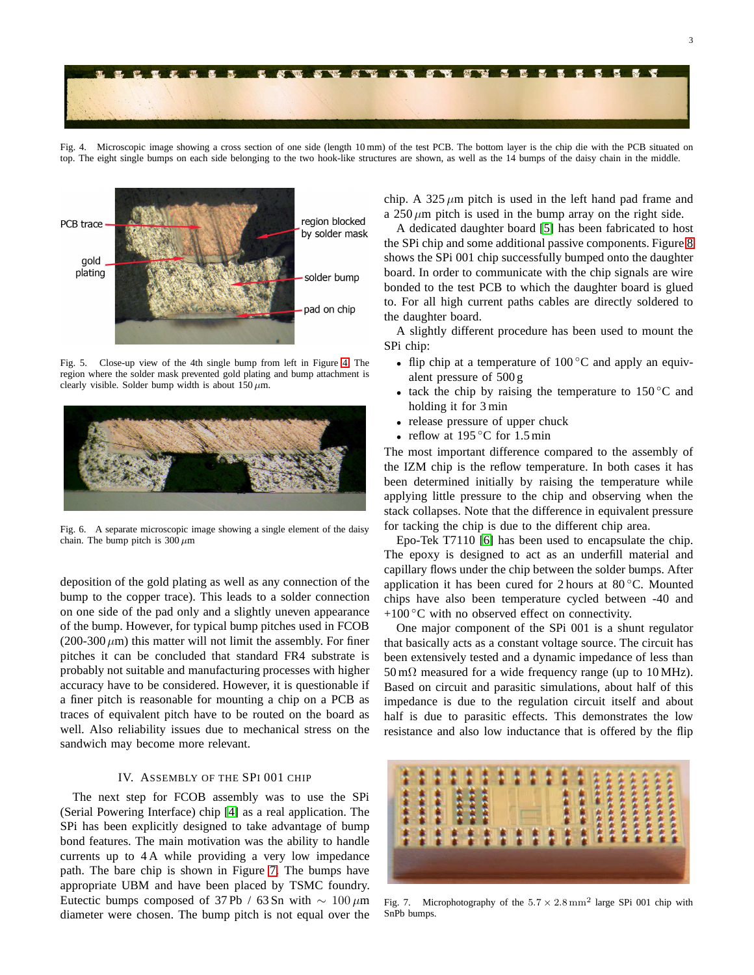

Fig. 4. Microscopic image showing a cross section of one side (length 10 mm) of the test PCB. The bottom layer is the chip die with the PCB situated on top. The eight single bumps on each side belonging to the two hook-like structures are shown, as well as the 14 bumps of the daisy chain in the middle.

<span id="page-2-0"></span>

<span id="page-2-1"></span>Fig. 5. Close-up view of the 4th single bump from left in Figure [4.](#page-2-0) The region where the solder mask prevented gold plating and bump attachment is clearly visible. Solder bump width is about  $150 \,\mu m$ .



<span id="page-2-2"></span>Fig. 6. A separate microscopic image showing a single element of the daisy chain. The bump pitch is  $300 \mu m$ 

deposition of the gold plating as well as any connection of the bump to the copper trace). This leads to a solder connection on one side of the pad only and a slightly uneven appearance of the bump. However, for typical bump pitches used in FCOB  $(200-300 \,\mu m)$  this matter will not limit the assembly. For finer pitches it can be concluded that standard FR4 substrate is probably not suitable and manufacturing processes with higher accuracy have to be considered. However, it is questionable if a finer pitch is reasonable for mounting a chip on a PCB as traces of equivalent pitch have to be routed on the board as well. Also reliability issues due to mechanical stress on the sandwich may become more relevant.

# IV. ASSEMBLY OF THE SPI 001 CHIP

The next step for FCOB assembly was to use the SPi (Serial Powering Interface) chip [\[4\]](#page-3-3) as a real application. The SPi has been explicitly designed to take advantage of bump bond features. The main motivation was the ability to handle currents up to 4 A while providing a very low impedance path. The bare chip is shown in Figure [7.](#page-2-3) The bumps have appropriate UBM and have been placed by TSMC foundry. Eutectic bumps composed of 37 Pb / 63 Sn with  $\sim 100 \mu$ m diameter were chosen. The bump pitch is not equal over the

chip. A 325  $\mu$ m pitch is used in the left hand pad frame and a  $250 \mu m$  pitch is used in the bump array on the right side.

A dedicated daughter board [\[5\]](#page-3-4) has been fabricated to host the SPi chip and some additional passive components. Figure [8](#page-3-5) shows the SPi 001 chip successfully bumped onto the daughter board. In order to communicate with the chip signals are wire bonded to the test PCB to which the daughter board is glued to. For all high current paths cables are directly soldered to the daughter board.

A slightly different procedure has been used to mount the SPi chip:

- flip chip at a temperature of 100 °C and apply an equivalent pressure of 500 g
- tack the chip by raising the temperature to  $150^{\circ}$ C and holding it for 3 min
- release pressure of upper chuck
- reflow at  $195^{\circ}$ C for 1.5 min

The most important difference compared to the assembly of the IZM chip is the reflow temperature. In both cases it has been determined initially by raising the temperature while applying little pressure to the chip and observing when the stack collapses. Note that the difference in equivalent pressure for tacking the chip is due to the different chip area.

Epo-Tek T7110 [\[6\]](#page-3-6) has been used to encapsulate the chip. The epoxy is designed to act as an underfill material and capillary flows under the chip between the solder bumps. After application it has been cured for 2 hours at  $80^{\circ}$ C. Mounted chips have also been temperature cycled between -40 and  $+100\degree C$  with no observed effect on connectivity.

One major component of the SPi 001 is a shunt regulator that basically acts as a constant voltage source. The circuit has been extensively tested and a dynamic impedance of less than  $50 \text{ m}\Omega$  measured for a wide frequency range (up to 10 MHz). Based on circuit and parasitic simulations, about half of this impedance is due to the regulation circuit itself and about half is due to parasitic effects. This demonstrates the low resistance and also low inductance that is offered by the flip



<span id="page-2-3"></span>Fig. 7. Microphotography of the  $5.7 \times 2.8 \text{ mm}^2$  large SPi 001 chip with SnPb bumps.